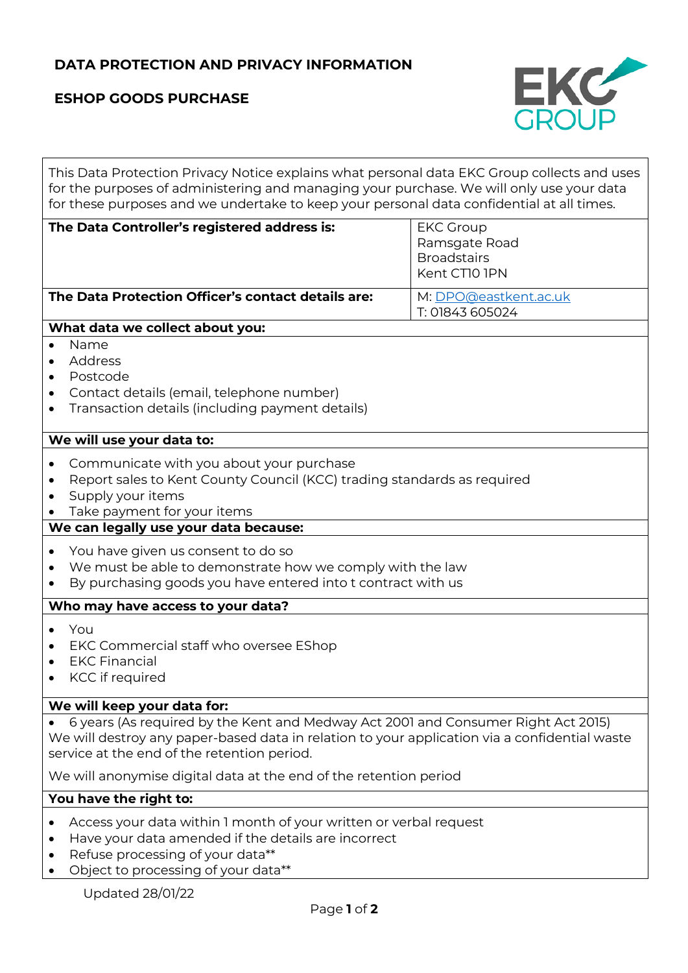# **DATA PROTECTION AND PRIVACY INFORMATION**

# **ESHOP GOODS PURCHASE**



This Data Protection Privacy Notice explains what personal data EKC Group collects and uses for the purposes of administering and managing your purchase. We will only use your data for these purposes and we undertake to keep your personal data confidential at all times.

| The Data Controller's registered address is:       | <b>EKC Group</b><br>Ramsgate Road<br><b>Broadstairs</b><br>Kent CTIO IPN |
|----------------------------------------------------|--------------------------------------------------------------------------|
| The Data Protection Officer's contact details are: | M: DPO@eastkent.ac.uk<br>T: 01843 605024                                 |

### **What data we collect about you:**

- Name
- Address
- Postcode
- Contact details (email, telephone number)
- Transaction details (including payment details)

#### **We will use your data to:**

- Communicate with you about your purchase
- Report sales to Kent County Council (KCC) trading standards as required
- Supply your items
- Take payment for your items

### **We can legally use your data because:**

- You have given us consent to do so
- We must be able to demonstrate how we comply with the law
- By purchasing goods you have entered into t contract with us

### **Who may have access to your data?**

- You
- EKC Commercial staff who oversee EShop
- EKC Financial
- KCC if required

#### **We will keep your data for:**

• 6 years (As required by the Kent and Medway Act 2001 and Consumer Right Act 2015) We will destroy any paper-based data in relation to your application via a confidential waste service at the end of the retention period.

We will anonymise digital data at the end of the retention period

#### **You have the right to:**

- Access your data within 1 month of your written or verbal request
- Have your data amended if the details are incorrect
- Refuse processing of your data\*\*
- Object to processing of your data\*\*